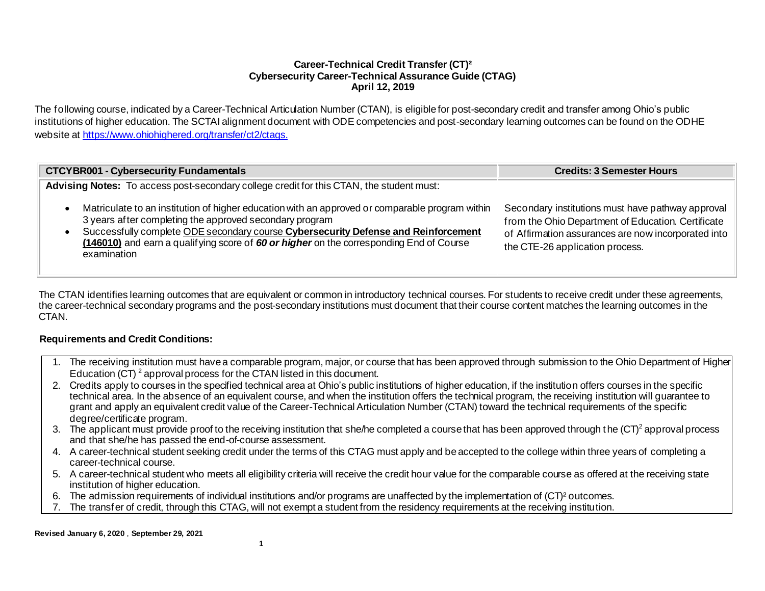#### **Career-Technical Credit Transfer (CT)² Cybersecurity Career-Technical Assurance Guide (CTAG) April 12, 2019**

The following course, indicated by a Career-Technical Articulation Number (CTAN), is eligible for post-secondary credit and transfer among Ohio's public institutions of higher education. The SCTAI alignment document with ODE competencies and post-secondary learning outcomes can be found on the ODHE website a[t https://www.ohiohighered.org/transfer/ct2/ctags](https://www.ohiohighered.org/transfer/ct2/ctags).

| <b>CTCYBR001 - Cybersecurity Fundamentals</b>                                                                                                                                                                                                                                                                                                              | <b>Credits: 3 Semester Hours</b>                                                                                                                                                                  |
|------------------------------------------------------------------------------------------------------------------------------------------------------------------------------------------------------------------------------------------------------------------------------------------------------------------------------------------------------------|---------------------------------------------------------------------------------------------------------------------------------------------------------------------------------------------------|
| Advising Notes: To access post-secondary college credit for this CTAN, the student must:                                                                                                                                                                                                                                                                   |                                                                                                                                                                                                   |
| Matriculate to an institution of higher education with an approved or comparable program within<br>3 years after completing the approved secondary program<br>Successfully complete ODE secondary course Cybersecurity Defense and Reinforcement<br>(146010) and earn a qualifying score of 60 or higher on the corresponding End of Course<br>examination | Secondary institutions must have pathway approval<br>from the Ohio Department of Education. Certificate<br>of Affirmation assurances are now incorporated into<br>the CTE-26 application process. |

The CTAN identifies learning outcomes that are equivalent or common in introductory technical courses. For students to receive credit under these agreements, the career-technical secondary programs and the post-secondary institutions must document that their course content matches the learning outcomes in the CTAN.

# **Requirements and Credit Conditions:**

- 1. The receiving institution must have a comparable program, major, or course that has been approved through submission to the Ohio Department of Higher Education (CT) <sup>2</sup> approval process for the CTAN listed in this document.
- 2. Credits apply to courses in the specified technical area at Ohio's public institutions of higher education, if the institution offers courses in the specific technical area. In the absence of an equivalent course, and when the institution offers the technical program, the receiving institution will guarantee to grant and apply an equivalent credit value of the Career-Technical Articulation Number (CTAN) toward the technical requirements of the specific degree/certificate program.
- 3. The applicant must provide proof to the receiving institution that she/he completed a course that has been approved through the  $(CT)^2$  approval process and that she/he has passed the end-of-course assessment.
- 4. A career-technical student seeking credit under the terms of this CTAG must apply and be accepted to the college within three years of completing a career-technical course.
- 5. A career-technical student who meets all eligibility criteria will receive the credit hour value for the comparable course as offered at the receiving state institution of higher education.
- 6. The admission requirements of individual institutions and/or programs are unaffected by the implementation of (CT)² outcomes.
- 7. The transfer of credit, through this CTAG, will not exempt a student from the residency requirements at the receiving institution.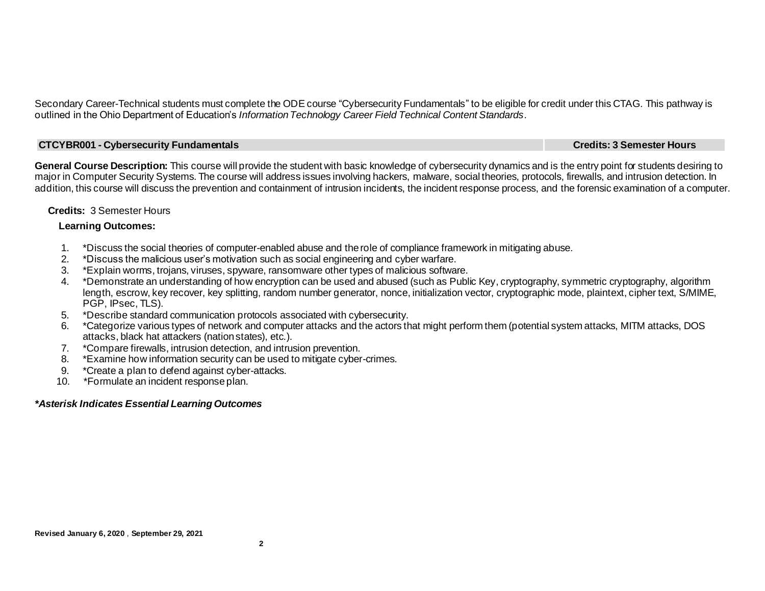Secondary Career-Technical students must complete the ODE course "Cybersecurity Fundamentals" to be eligible for credit under this CTAG. This pathway is outlined in the Ohio Department of Education's *Information Technology Career Field Technical Content Standards.*

### **CTCYBR001 - Cybersecurity Fundamentals Credits: 3 Semester Hours**

**General Course Description:** This course will provide the student with basic knowledge of cybersecurity dynamics and is the entry point for students desiring to major in Computer Security Systems. The course will address issues involving hackers, malware, social theories, protocols, firewalls, and intrusion detection. In addition, this course will discuss the prevention and containment of intrusion incidents, the incident response process, and the forensic examination of a computer.

# **Credits:** 3 Semester Hours

#### **Learning Outcomes:**

- 1. \*Discuss the social theories of computer-enabled abuse and the role of compliance framework in mitigating abuse.
- 2.\*Discuss the malicious user's motivation such as social engineering and cyber warfare.
- 3. \*Explain worms, trojans, viruses, spyware, ransomware other types of malicious software.
- 4. \*Demonstrate an understanding of how encryption can be used and abused (such as Public Key, cryptography, symmetric cryptography, algorithm length, escrow, key recover, key splitting, random number generator, nonce, initialization vector, cryptographic mode, plaintext, cipher text, S/MIME, PGP, IPsec, TLS).
- 5. \*Describe standard communication protocols associated with cybersecurity.
- 6. \*Categorize various types of network and computer attacks and the actors that might perform them (potential system attacks, MITM attacks, DOS attacks, black hat attackers (nation states), etc.).
- 7. \*Compare firewalls, intrusion detection, and intrusion prevention.
- 8. \*Examine how information security can be used to mitigate cyber-crimes.
- 9. \*Create a plan to defend against cyber-attacks.
- 10. \*Formulate an incident response plan.

# *\*Asterisk Indicates Essential Learning Outcomes*